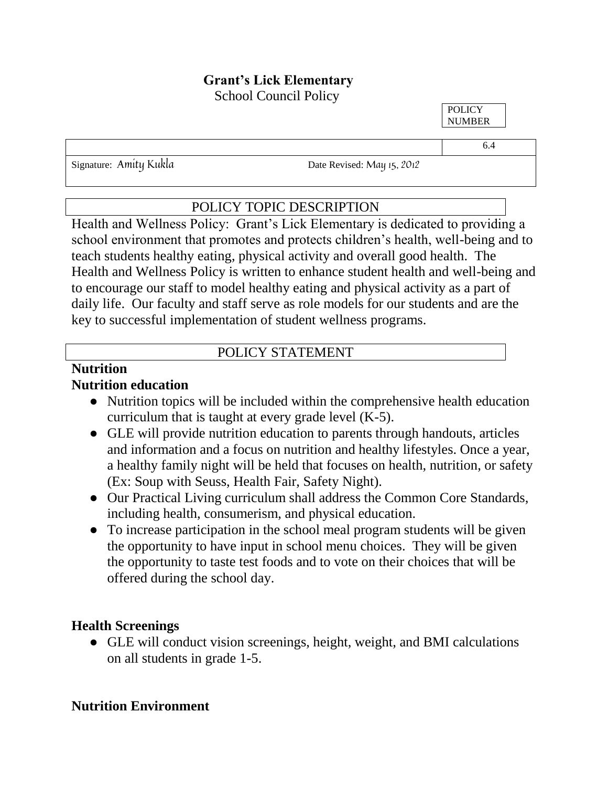# **Grant's Lick Elementary**

School Council Policy

**POLICY** NUMBER

Signature: Amity Kukla Date Revised: May 15, 2012

#### POLICY TOPIC DESCRIPTION

Health and Wellness Policy: Grant's Lick Elementary is dedicated to providing a school environment that promotes and protects children's health, well-being and to teach students healthy eating, physical activity and overall good health. The Health and Wellness Policy is written to enhance student health and well-being and to encourage our staff to model healthy eating and physical activity as a part of daily life. Our faculty and staff serve as role models for our students and are the key to successful implementation of student wellness programs.

#### POLICY STATEMENT

## **Nutrition**

#### **Nutrition education**

- Nutrition topics will be included within the comprehensive health education curriculum that is taught at every grade level (K-5).
- GLE will provide nutrition education to parents through handouts, articles and information and a focus on nutrition and healthy lifestyles. Once a year, a healthy family night will be held that focuses on health, nutrition, or safety (Ex: Soup with Seuss, Health Fair, Safety Night).
- Our Practical Living curriculum shall address the Common Core Standards, including health, consumerism, and physical education.
- To increase participation in the school meal program students will be given the opportunity to have input in school menu choices. They will be given the opportunity to taste test foods and to vote on their choices that will be offered during the school day.

#### **Health Screenings**

● GLE will conduct vision screenings, height, weight, and BMI calculations on all students in grade 1-5.

#### **Nutrition Environment**

6.4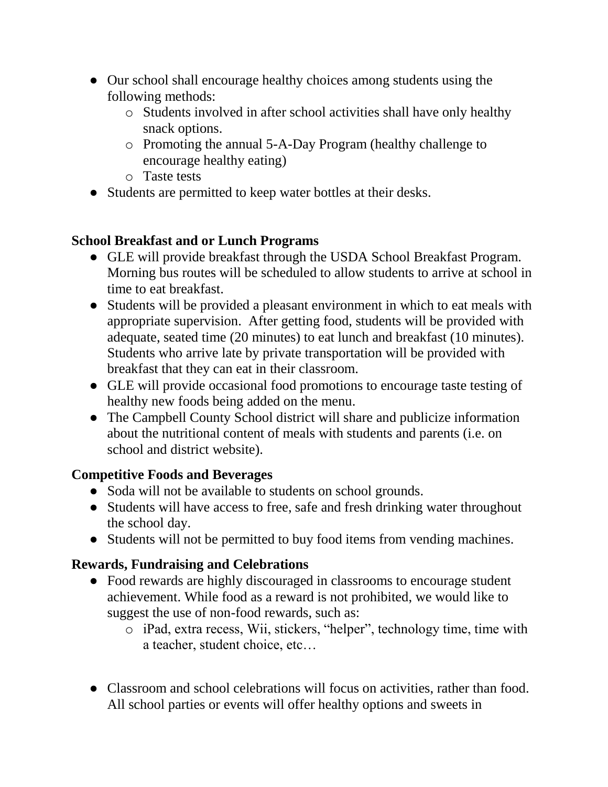- Our school shall encourage healthy choices among students using the following methods:
	- o Students involved in after school activities shall have only healthy snack options.
	- o Promoting the annual 5-A-Day Program (healthy challenge to encourage healthy eating)
	- o Taste tests
- Students are permitted to keep water bottles at their desks.

#### **School Breakfast and or Lunch Programs**

- GLE will provide breakfast through the USDA School Breakfast Program. Morning bus routes will be scheduled to allow students to arrive at school in time to eat breakfast.
- Students will be provided a pleasant environment in which to eat meals with appropriate supervision. After getting food, students will be provided with adequate, seated time (20 minutes) to eat lunch and breakfast (10 minutes). Students who arrive late by private transportation will be provided with breakfast that they can eat in their classroom.
- GLE will provide occasional food promotions to encourage taste testing of healthy new foods being added on the menu.
- The Campbell County School district will share and publicize information about the nutritional content of meals with students and parents (i.e. on school and district website).

#### **Competitive Foods and Beverages**

- Soda will not be available to students on school grounds.
- Students will have access to free, safe and fresh drinking water throughout the school day.
- Students will not be permitted to buy food items from vending machines.

#### **Rewards, Fundraising and Celebrations**

- Food rewards are highly discouraged in classrooms to encourage student achievement. While food as a reward is not prohibited, we would like to suggest the use of non-food rewards, such as:
	- o iPad, extra recess, Wii, stickers, "helper", technology time, time with a teacher, student choice, etc…
- Classroom and school celebrations will focus on activities, rather than food. All school parties or events will offer healthy options and sweets in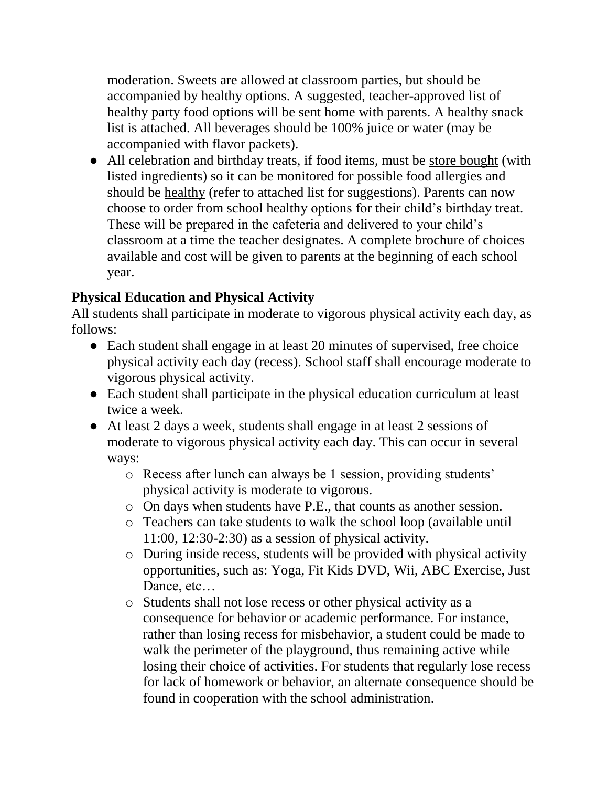moderation. Sweets are allowed at classroom parties, but should be accompanied by healthy options. A suggested, teacher-approved list of healthy party food options will be sent home with parents. A healthy snack list is attached. All beverages should be 100% juice or water (may be accompanied with flavor packets).

• All celebration and birthday treats, if food items, must be store bought (with listed ingredients) so it can be monitored for possible food allergies and should be healthy (refer to attached list for suggestions). Parents can now choose to order from school healthy options for their child's birthday treat. These will be prepared in the cafeteria and delivered to your child's classroom at a time the teacher designates. A complete brochure of choices available and cost will be given to parents at the beginning of each school year.

#### **Physical Education and Physical Activity**

All students shall participate in moderate to vigorous physical activity each day, as follows:

- Each student shall engage in at least 20 minutes of supervised, free choice physical activity each day (recess). School staff shall encourage moderate to vigorous physical activity.
- Each student shall participate in the physical education curriculum at least twice a week.
- At least 2 days a week, students shall engage in at least 2 sessions of moderate to vigorous physical activity each day. This can occur in several ways:
	- o Recess after lunch can always be 1 session, providing students' physical activity is moderate to vigorous.
	- o On days when students have P.E., that counts as another session.
	- o Teachers can take students to walk the school loop (available until 11:00, 12:30-2:30) as a session of physical activity.
	- o During inside recess, students will be provided with physical activity opportunities, such as: Yoga, Fit Kids DVD, Wii, ABC Exercise, Just Dance, etc...
	- o Students shall not lose recess or other physical activity as a consequence for behavior or academic performance. For instance, rather than losing recess for misbehavior, a student could be made to walk the perimeter of the playground, thus remaining active while losing their choice of activities. For students that regularly lose recess for lack of homework or behavior, an alternate consequence should be found in cooperation with the school administration.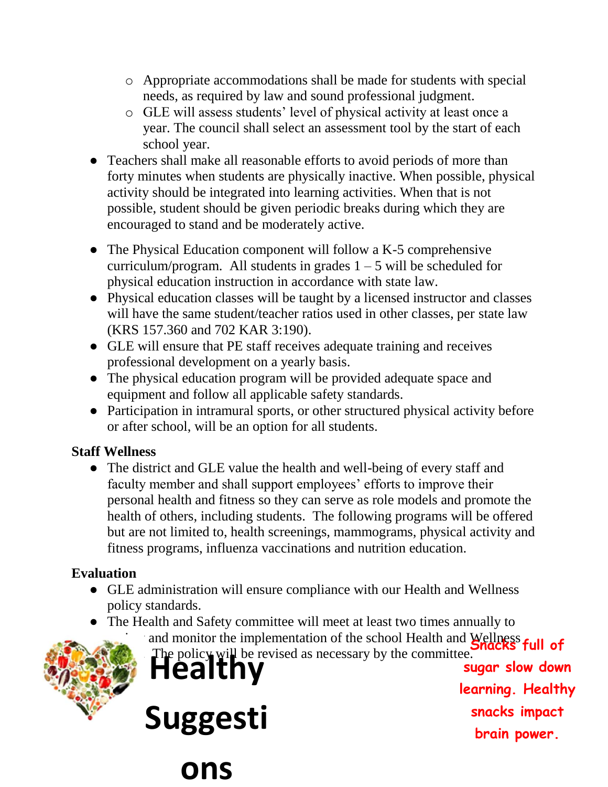- o Appropriate accommodations shall be made for students with special needs, as required by law and sound professional judgment.
- o GLE will assess students' level of physical activity at least once a year. The council shall select an assessment tool by the start of each school year.
- Teachers shall make all reasonable efforts to avoid periods of more than forty minutes when students are physically inactive. When possible, physical activity should be integrated into learning activities. When that is not possible, student should be given periodic breaks during which they are encouraged to stand and be moderately active.
- The Physical Education component will follow a K-5 comprehensive curriculum/program. All students in grades  $1 - 5$  will be scheduled for physical education instruction in accordance with state law.
- Physical education classes will be taught by a licensed instructor and classes will have the same student/teacher ratios used in other classes, per state law (KRS 157.360 and 702 KAR 3:190).
- GLE will ensure that PE staff receives adequate training and receives professional development on a yearly basis.
- The physical education program will be provided adequate space and equipment and follow all applicable safety standards.
- Participation in intramural sports, or other structured physical activity before or after school, will be an option for all students.

#### **Staff Wellness**

• The district and GLE value the health and well-being of every staff and faculty member and shall support employees' efforts to improve their personal health and fitness so they can serve as role models and promote the health of others, including students. The following programs will be offered but are not limited to, health screenings, mammograms, physical activity and fitness programs, influenza vaccinations and nutrition education.

### **Evaluation**

- GLE administration will ensure compliance with our Health and Wellness policy standards.
- The Health and Safety committee will meet at least two times annually to

and monitor the implementation of the school Health and Wellness **full of** The policy will be revised as necessary by the committee.



**Suggesti**

**ons** 

**sugar slow down learning. Healthy snacks impact brain power.**